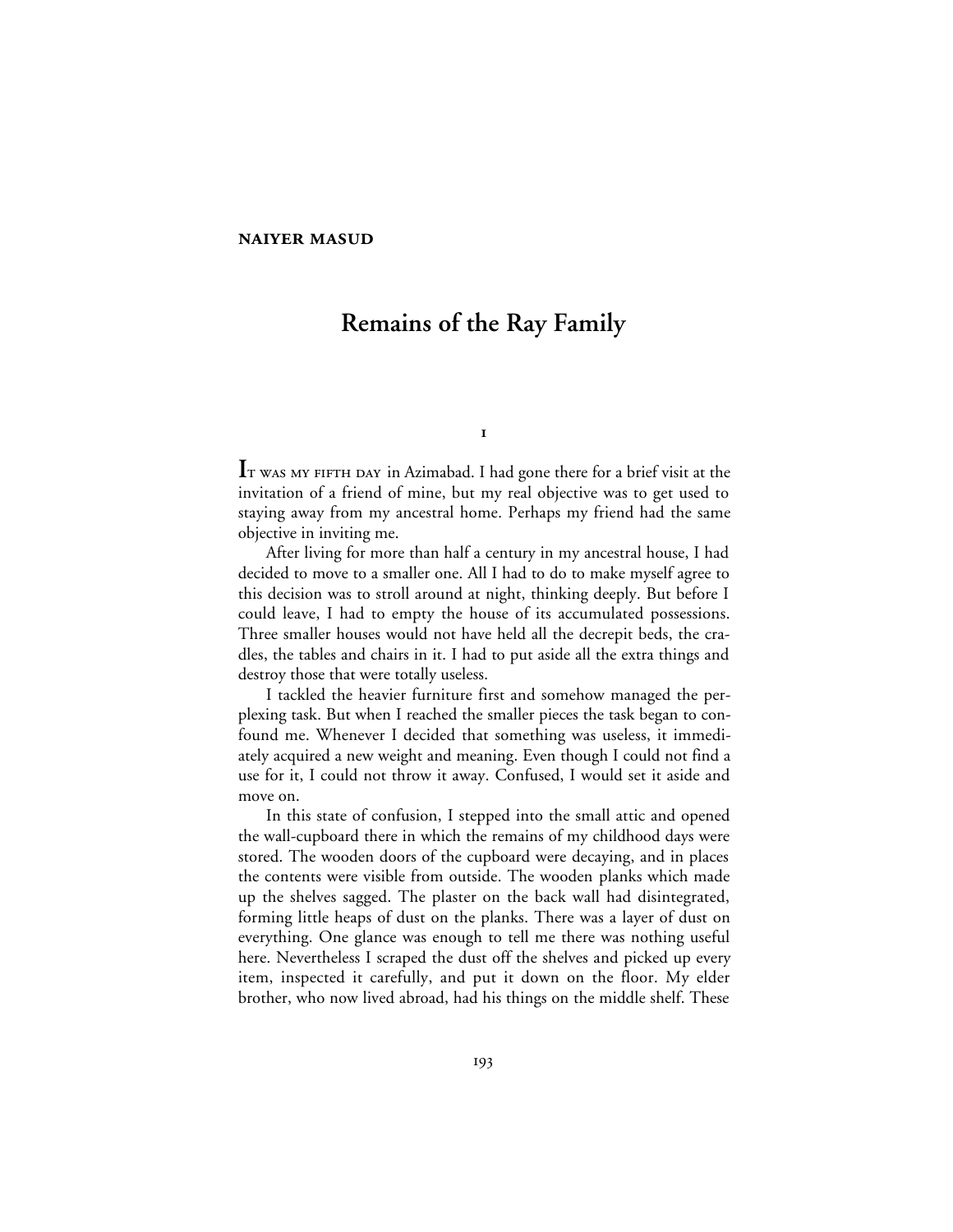## **NAIYER MASUD**

# **Remains of the Ray Family**

 $\mathbf{I}$ 

IT WAS MY FIFTH DAY in Azimabad. I had gone there for a brief visit at the invitation of a friend of mine, but my real objective was to get used to staying away from my ancestral home. Perhaps my friend had the same objective in inviting me.

After living for more than half a century in my ancestral house, I had decided to move to a smaller one. All I had to do to make myself agree to this decision was to stroll around at night, thinking deeply. But before I could leave, I had to empty the house of its accumulated possessions. Three smaller houses would not have held all the decrepit beds, the cradles, the tables and chairs in it. I had to put aside all the extra things and destroy those that were totally useless.

I tackled the heavier furniture first and somehow managed the perplexing task. But when I reached the smaller pieces the task began to confound me. Whenever I decided that something was useless, it immediately acquired a new weight and meaning. Even though I could not find a use for it, I could not throw it away. Confused, I would set it aside and move on.

In this state of confusion, I stepped into the small attic and opened the wall-cupboard there in which the remains of my childhood days were stored. The wooden doors of the cupboard were decaying, and in places the contents were visible from outside. The wooden planks which made up the shelves sagged. The plaster on the back wall had disintegrated, forming little heaps of dust on the planks. There was a layer of dust on everything. One glance was enough to tell me there was nothing useful here. Nevertheless I scraped the dust off the shelves and picked up every item, inspected it carefully, and put it down on the floor. My elder brother, who now lived abroad, had his things on the middle shelf. These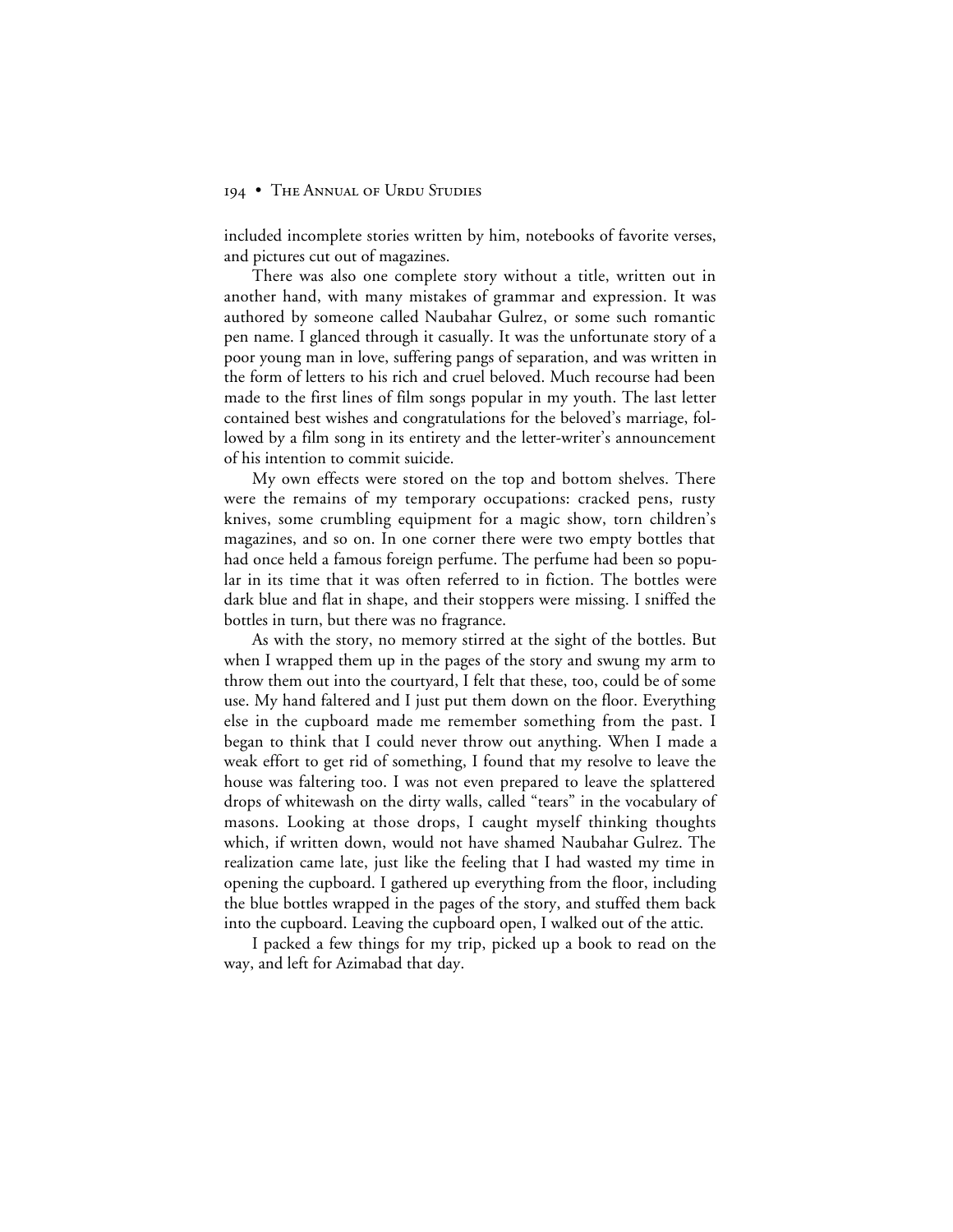included incomplete stories written by him, notebooks of favorite verses, and pictures cut out of magazines.

There was also one complete story without a title, written out in another hand, with many mistakes of grammar and expression. It was authored by someone called Naubahar Gulrez, or some such romantic pen name. I glanced through it casually. It was the unfortunate story of a poor young man in love, suffering pangs of separation, and was written in the form of letters to his rich and cruel beloved. Much recourse had been made to the first lines of film songs popular in my youth. The last letter contained best wishes and congratulations for the beloved's marriage, followed by a film song in its entirety and the letter-writer's announcement of his intention to commit suicide.

My own effects were stored on the top and bottom shelves. There were the remains of my temporary occupations: cracked pens, rusty knives, some crumbling equipment for a magic show, torn children's magazines, and so on. In one corner there were two empty bottles that had once held a famous foreign perfume. The perfume had been so popular in its time that it was often referred to in fiction. The bottles were dark blue and flat in shape, and their stoppers were missing. I sniffed the bottles in turn, but there was no fragrance.

As with the story, no memory stirred at the sight of the bottles. But when I wrapped them up in the pages of the story and swung my arm to throw them out into the courtyard, I felt that these, too, could be of some use. My hand faltered and I just put them down on the floor. Everything else in the cupboard made me remember something from the past. I began to think that I could never throw out anything. When I made a weak effort to get rid of something, I found that my resolve to leave the house was faltering too. I was not even prepared to leave the splattered drops of whitewash on the dirty walls, called "tears" in the vocabulary of masons. Looking at those drops, I caught myself thinking thoughts which, if written down, would not have shamed Naubahar Gulrez. The realization came late, just like the feeling that I had wasted my time in opening the cupboard. I gathered up everything from the floor, including the blue bottles wrapped in the pages of the story, and stuffed them back into the cupboard. Leaving the cupboard open, I walked out of the attic.

I packed a few things for my trip, picked up a book to read on the way, and left for Azimabad that day.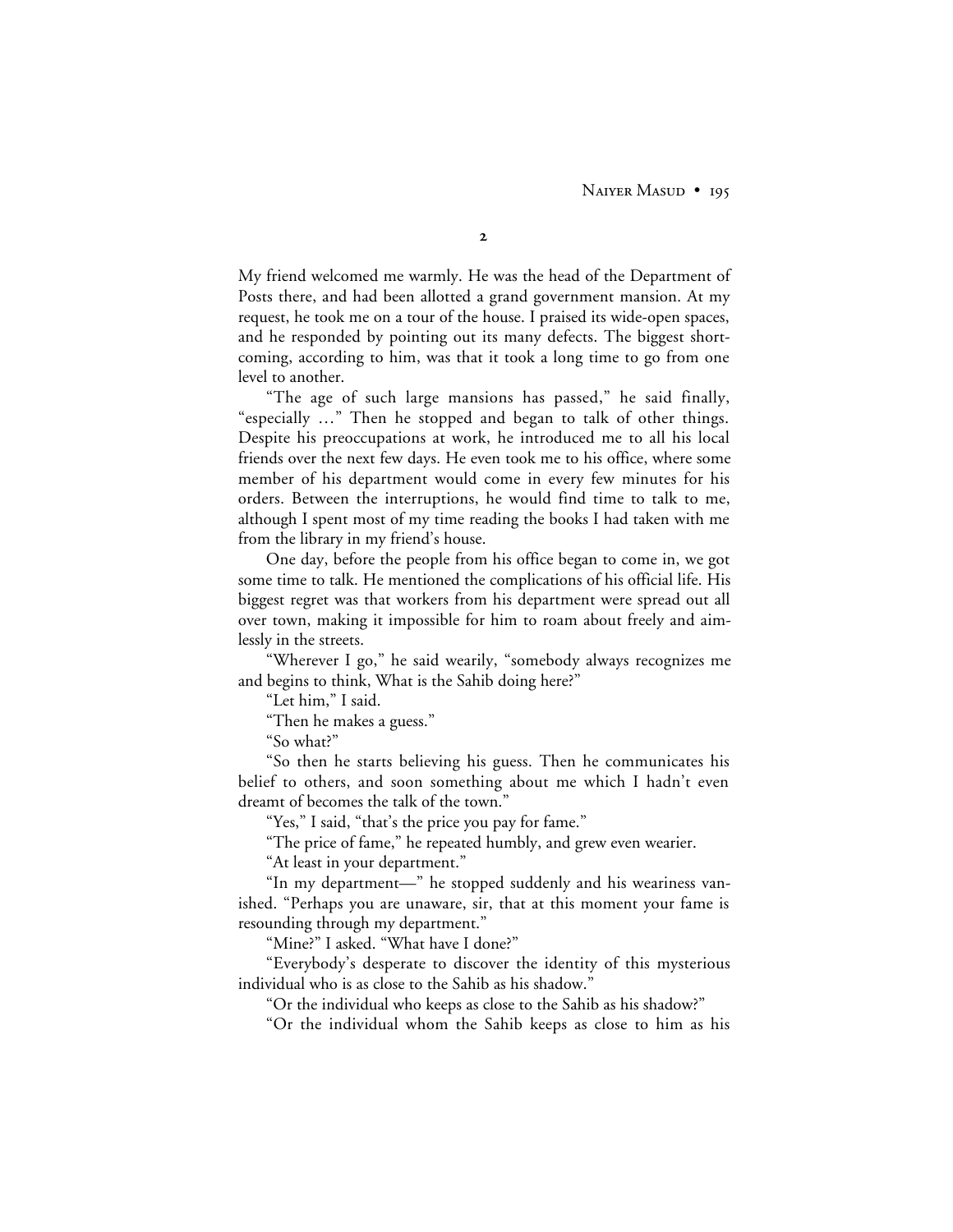NAIYER MASUD • 195

 $\mathbf{2}$ 

My friend welcomed me warmly. He was the head of the Department of Posts there, and had been allotted a grand government mansion. At my request, he took me on a tour of the house. I praised its wide-open spaces, and he responded by pointing out its many defects. The biggest shortcoming, according to him, was that it took a long time to go from one level to another.

"The age of such large mansions has passed," he said finally, "especially …" Then he stopped and began to talk of other things. Despite his preoccupations at work, he introduced me to all his local friends over the next few days. He even took me to his office, where some member of his department would come in every few minutes for his orders. Between the interruptions, he would find time to talk to me, although I spent most of my time reading the books I had taken with me from the library in my friend's house.

One day, before the people from his office began to come in, we got some time to talk. He mentioned the complications of his official life. His biggest regret was that workers from his department were spread out all over town, making it impossible for him to roam about freely and aimlessly in the streets.

"Wherever I go," he said wearily, "somebody always recognizes me and begins to think, What is the Sahib doing here?"

"Let him," I said.

"Then he makes a guess."

"So what?"

"So then he starts believing his guess. Then he communicates his belief to others, and soon something about me which I hadn't even dreamt of becomes the talk of the town."

"Yes," I said, "that's the price you pay for fame."

"The price of fame," he repeated humbly, and grew even wearier.

"At least in your department."

"In my department—" he stopped suddenly and his weariness vanished. "Perhaps you are unaware, sir, that at this moment your fame is resounding through my department."

"Mine?" I asked. "What have I done?"

"Everybody's desperate to discover the identity of this mysterious individual who is as close to the Sahib as his shadow."

"Or the individual who keeps as close to the Sahib as his shadow?"

"Or the individual whom the Sahib keeps as close to him as his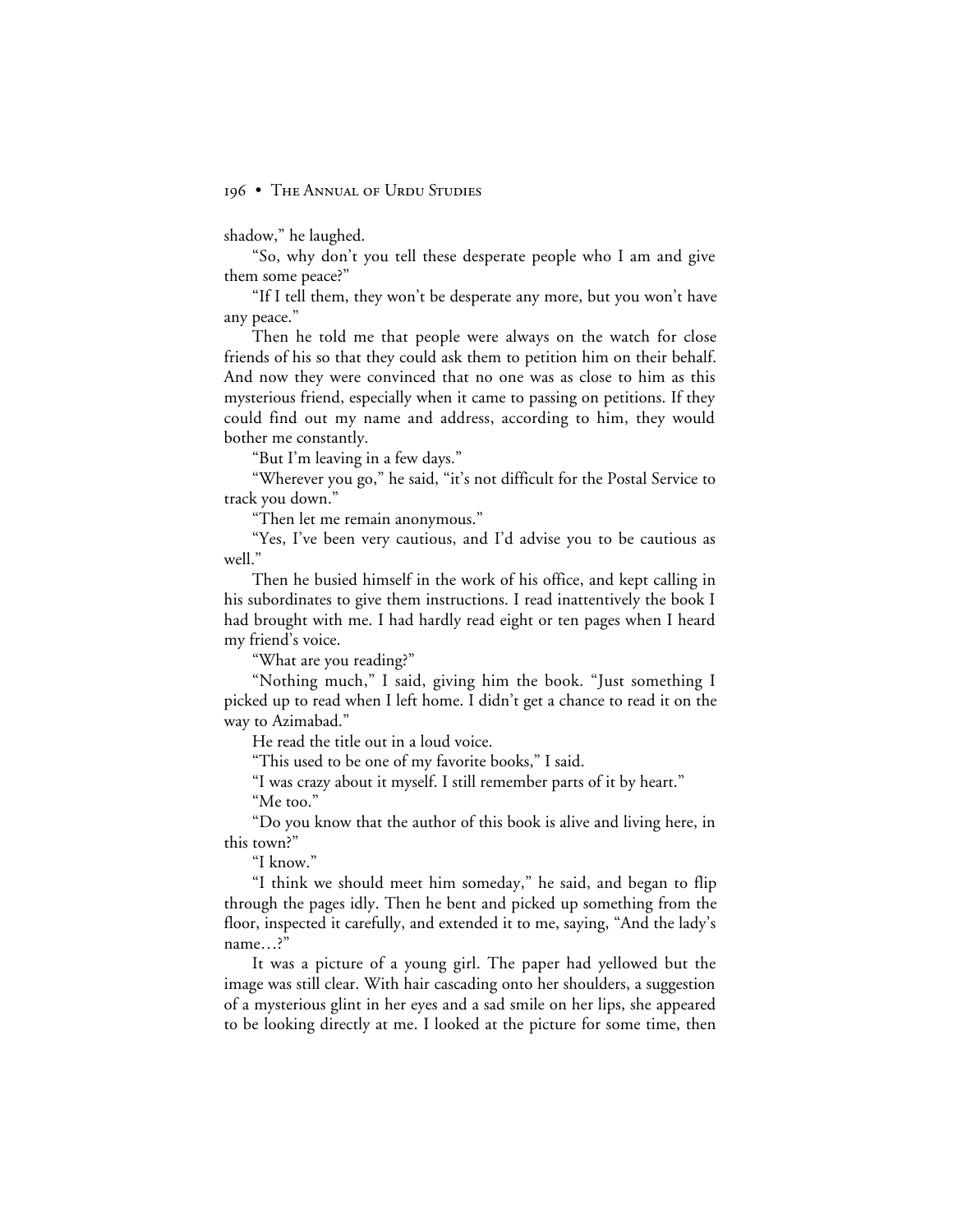shadow," he laughed.

"So, why don't you tell these desperate people who I am and give them some peace?"

"If I tell them, they won't be desperate any more, but you won't have any peace."

Then he told me that people were always on the watch for close friends of his so that they could ask them to petition him on their behalf. And now they were convinced that no one was as close to him as this mysterious friend, especially when it came to passing on petitions. If they could find out my name and address, according to him, they would bother me constantly.

"But I'm leaving in a few days."

"Wherever you go," he said, "it's not difficult for the Postal Service to track you down."

"Then let me remain anonymous."

"Yes, I've been very cautious, and I'd advise you to be cautious as well."

Then he busied himself in the work of his office, and kept calling in his subordinates to give them instructions. I read inattentively the book I had brought with me. I had hardly read eight or ten pages when I heard my friend's voice.

"What are you reading?"

"Nothing much," I said, giving him the book. "Just something I picked up to read when I left home. I didn't get a chance to read it on the way to Azimabad."

He read the title out in a loud voice.

"This used to be one of my favorite books," I said.

"I was crazy about it myself. I still remember parts of it by heart." "Me too."

"Do you know that the author of this book is alive and living here, in this town?"

"I know."

"I think we should meet him someday," he said, and began to flip through the pages idly. Then he bent and picked up something from the floor, inspected it carefully, and extended it to me, saying, "And the lady's name…?"

It was a picture of a young girl. The paper had yellowed but the image was still clear. With hair cascading onto her shoulders, a suggestion of a mysterious glint in her eyes and a sad smile on her lips, she appeared to be looking directly at me. I looked at the picture for some time, then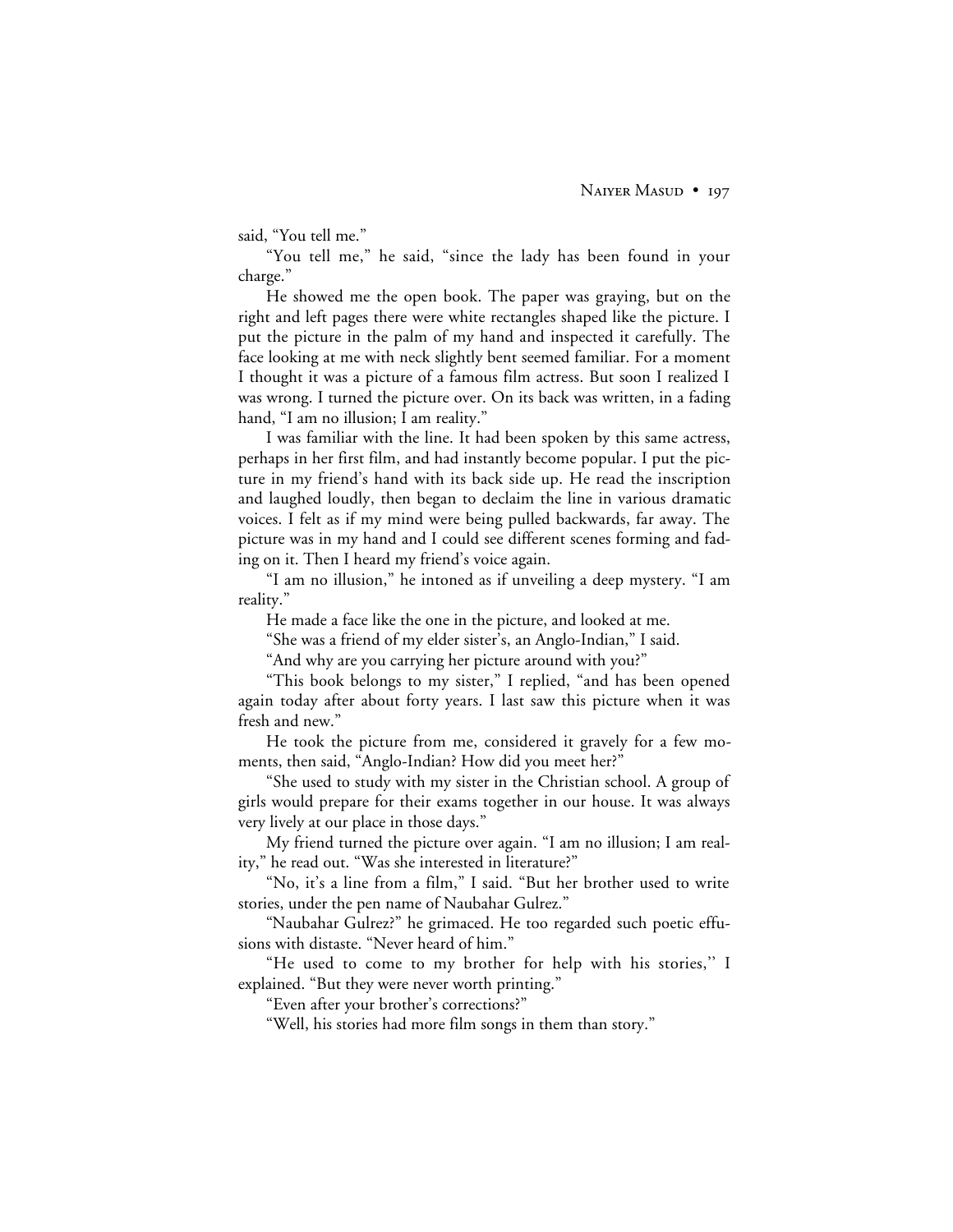said, "You tell me."

"You tell me," he said, "since the lady has been found in your charge."

He showed me the open book. The paper was graying, but on the right and left pages there were white rectangles shaped like the picture. I put the picture in the palm of my hand and inspected it carefully. The face looking at me with neck slightly bent seemed familiar. For a moment I thought it was a picture of a famous film actress. But soon I realized I was wrong. I turned the picture over. On its back was written, in a fading hand, "I am no illusion; I am reality."

I was familiar with the line. It had been spoken by this same actress, perhaps in her first film, and had instantly become popular. I put the picture in my friend's hand with its back side up. He read the inscription and laughed loudly, then began to declaim the line in various dramatic voices. I felt as if my mind were being pulled backwards, far away. The picture was in my hand and I could see different scenes forming and fading on it. Then I heard my friend's voice again.

"I am no illusion," he intoned as if unveiling a deep mystery. "I am reality."

He made a face like the one in the picture, and looked at me.

"She was a friend of my elder sister's, an Anglo-Indian," I said.

"And why are you carrying her picture around with you?"

"This book belongs to my sister," I replied, "and has been opened again today after about forty years. I last saw this picture when it was fresh and new."

He took the picture from me, considered it gravely for a few moments, then said, "Anglo-Indian? How did you meet her?"

"She used to study with my sister in the Christian school. A group of girls would prepare for their exams together in our house. It was always very lively at our place in those days."

My friend turned the picture over again. "I am no illusion; I am reality," he read out. "Was she interested in literature?"

"No, it's a line from a film," I said. "But her brother used to write stories, under the pen name of Naubahar Gulrez."

"Naubahar Gulrez?" he grimaced. He too regarded such poetic effusions with distaste. "Never heard of him."

"He used to come to my brother for help with his stories,'' I explained. "But they were never worth printing."

"Even after your brother's corrections?"

"Well, his stories had more film songs in them than story."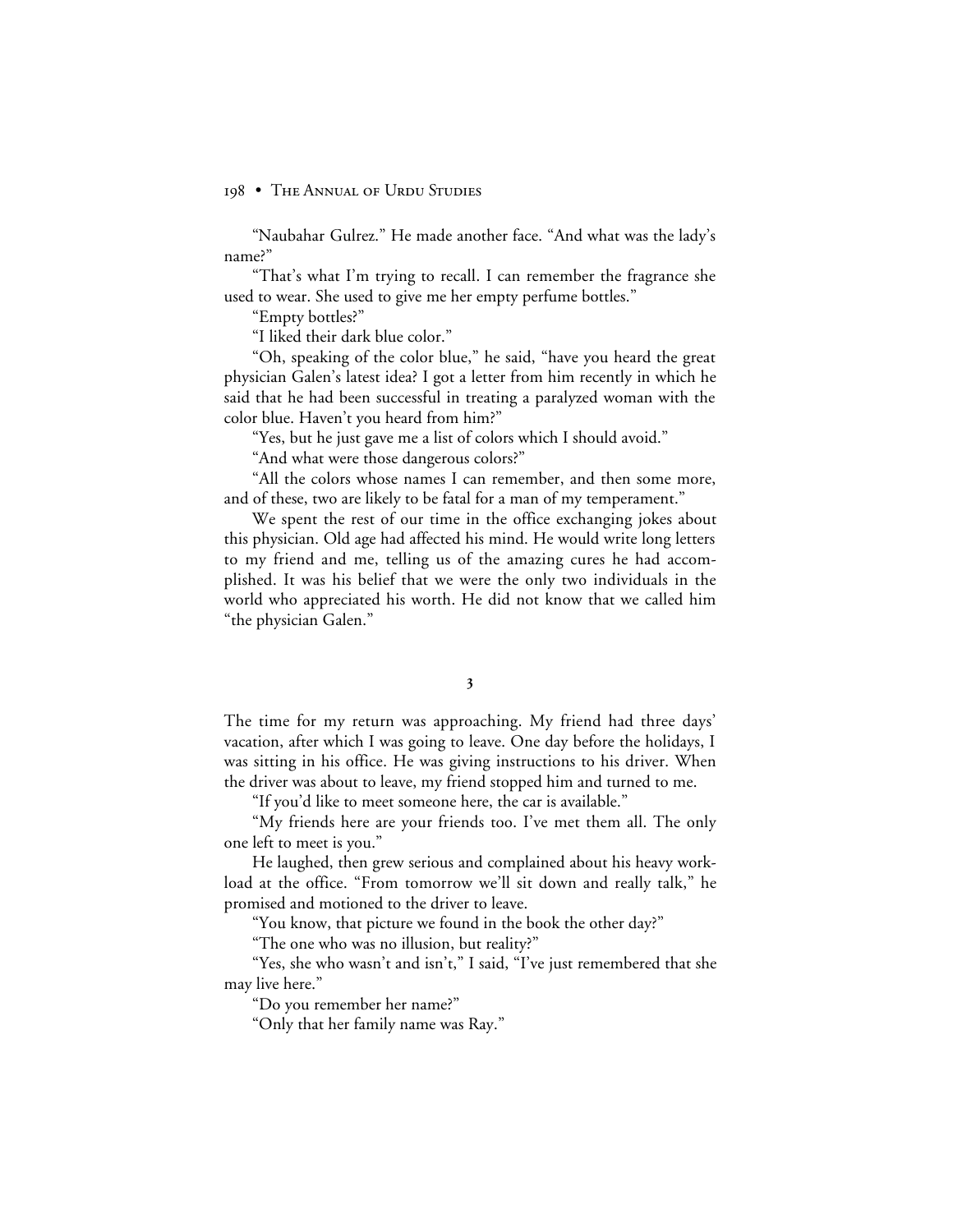"Naubahar Gulrez." He made another face. "And what was the lady's name?"

"That's what I'm trying to recall. I can remember the fragrance she used to wear. She used to give me her empty perfume bottles."

"Empty bottles?"

"I liked their dark blue color."

"Oh, speaking of the color blue," he said, "have you heard the great physician Galen's latest idea? I got a letter from him recently in which he said that he had been successful in treating a paralyzed woman with the color blue. Haven't you heard from him?"

"Yes, but he just gave me a list of colors which I should avoid."

"And what were those dangerous colors?"

"All the colors whose names I can remember, and then some more, and of these, two are likely to be fatal for a man of my temperament."

We spent the rest of our time in the office exchanging jokes about this physician. Old age had affected his mind. He would write long letters to my friend and me, telling us of the amazing cures he had accomplished. It was his belief that we were the only two individuals in the world who appreciated his worth. He did not know that we called him "the physician Galen."

The time for my return was approaching. My friend had three days' vacation, after which I was going to leave. One day before the holidays, I was sitting in his office. He was giving instructions to his driver. When the driver was about to leave, my friend stopped him and turned to me.

"If you'd like to meet someone here, the car is available."

"My friends here are your friends too. I've met them all. The only one left to meet is you."

He laughed, then grew serious and complained about his heavy workload at the office. "From tomorrow we'll sit down and really talk," he promised and motioned to the driver to leave.

"You know, that picture we found in the book the other day?"

"The one who was no illusion, but reality?"

"Yes, she who wasn't and isn't," I said, "I've just remembered that she may live here."

"Do you remember her name?"

"Only that her family name was Ray."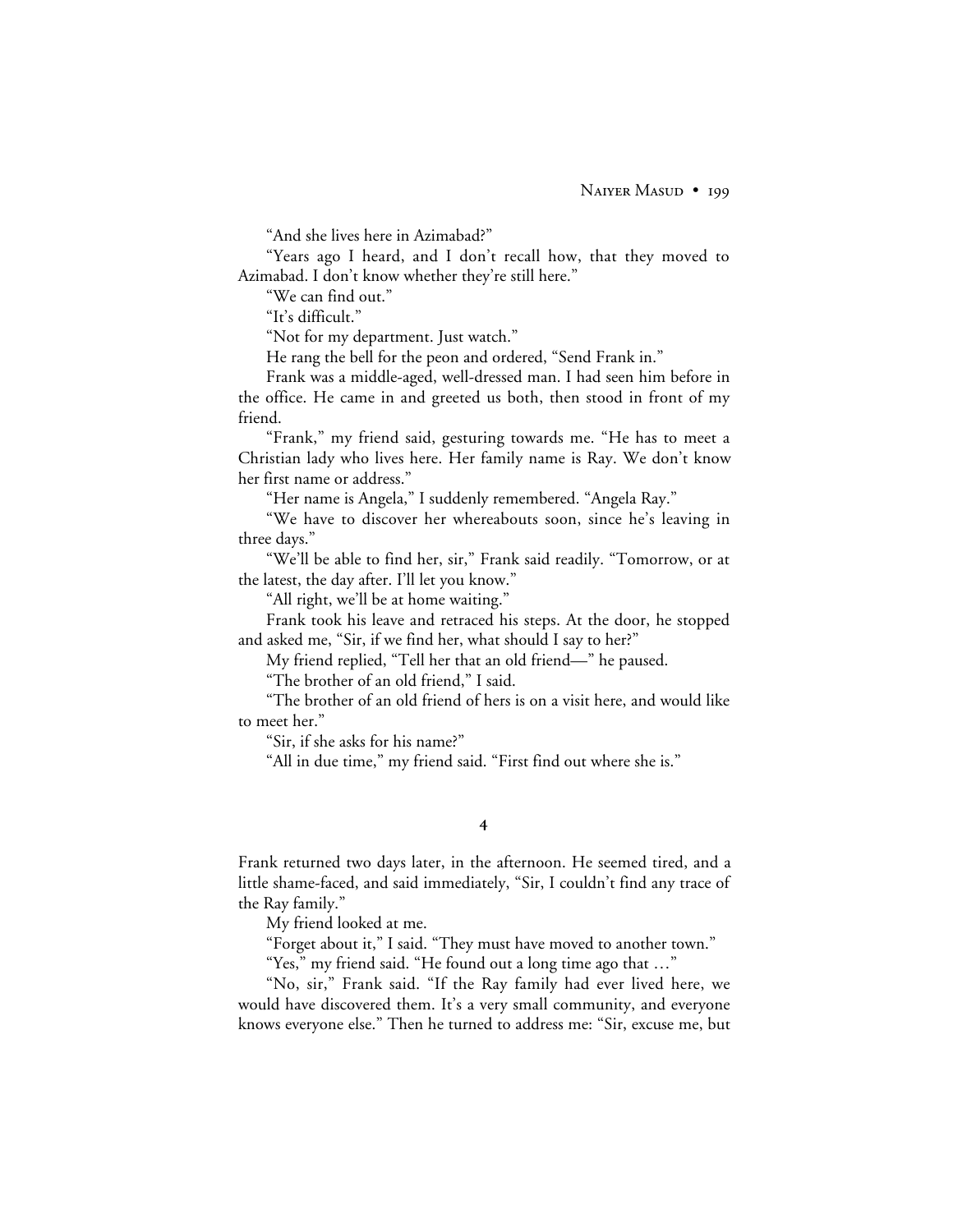"And she lives here in Azimabad?"

"Years ago I heard, and I don't recall how, that they moved to Azimabad. I don't know whether they're still here."

"We can find out."

"It's difficult."

"Not for my department. Just watch."

He rang the bell for the peon and ordered, "Send Frank in."

Frank was a middle-aged, well-dressed man. I had seen him before in the office. He came in and greeted us both, then stood in front of my friend.

"Frank," my friend said, gesturing towards me. "He has to meet a Christian lady who lives here. Her family name is Ray. We don't know her first name or address."

"Her name is Angela," I suddenly remembered. "Angela Ray."

"We have to discover her whereabouts soon, since he's leaving in three days."

"We'll be able to find her, sir," Frank said readily. "Tomorrow, or at the latest, the day after. I'll let you know."

"All right, we'll be at home waiting."

Frank took his leave and retraced his steps. At the door, he stopped and asked me, "Sir, if we find her, what should I say to her?"

My friend replied, "Tell her that an old friend—" he paused.

"The brother of an old friend," I said.

"The brother of an old friend of hers is on a visit here, and would like to meet her."

"Sir, if she asks for his name?"

"All in due time," my friend said. "First find out where she is."

### $\overline{4}$

Frank returned two days later, in the afternoon. He seemed tired, and a little shame-faced, and said immediately, "Sir, I couldn't find any trace of the Ray family."

My friend looked at me.

"Forget about it," I said. "They must have moved to another town."

"Yes," my friend said. "He found out a long time ago that …"

"No, sir," Frank said. "If the Ray family had ever lived here, we would have discovered them. It's a very small community, and everyone knows everyone else." Then he turned to address me: "Sir, excuse me, but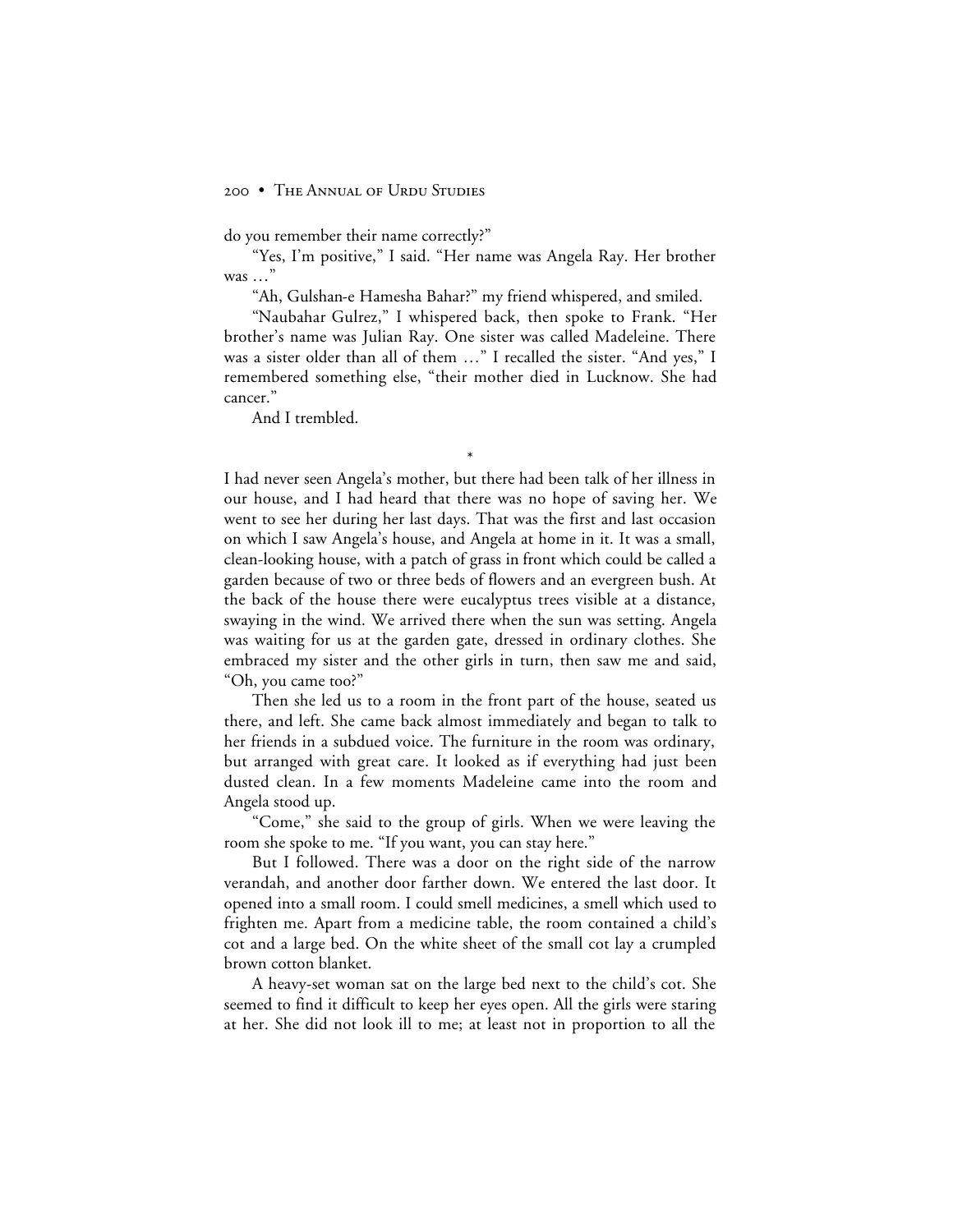do you remember their name correctly?"

"Yes, I'm positive," I said. "Her name was Angela Ray. Her brother was …"

"Ah, Gulshan-e Hamesha Bahar?" my friend whispered, and smiled.

"Naubahar Gulrez," I whispered back, then spoke to Frank. "Her brother's name was Julian Ray. One sister was called Madeleine. There was a sister older than all of them …" I recalled the sister. "And yes," I remembered something else, "their mother died in Lucknow. She had cancer."

\*

And I trembled.

I had never seen Angela's mother, but there had been talk of her illness in our house, and I had heard that there was no hope of saving her. We went to see her during her last days. That was the first and last occasion on which I saw Angela's house, and Angela at home in it. It was a small, clean-looking house, with a patch of grass in front which could be called a garden because of two or three beds of flowers and an evergreen bush. At the back of the house there were eucalyptus trees visible at a distance, swaying in the wind. We arrived there when the sun was setting. Angela was waiting for us at the garden gate, dressed in ordinary clothes. She embraced my sister and the other girls in turn, then saw me and said, "Oh, you came too?"

Then she led us to a room in the front part of the house, seated us there, and left. She came back almost immediately and began to talk to her friends in a subdued voice. The furniture in the room was ordinary, but arranged with great care. It looked as if everything had just been dusted clean. In a few moments Madeleine came into the room and Angela stood up.

"Come," she said to the group of girls. When we were leaving the room she spoke to me. "If you want, you can stay here."

But I followed. There was a door on the right side of the narrow verandah, and another door farther down. We entered the last door. It opened into a small room. I could smell medicines, a smell which used to frighten me. Apart from a medicine table, the room contained a child's cot and a large bed. On the white sheet of the small cot lay a crumpled brown cotton blanket.

A heavy-set woman sat on the large bed next to the child's cot. She seemed to find it difficult to keep her eyes open. All the girls were staring at her. She did not look ill to me; at least not in proportion to all the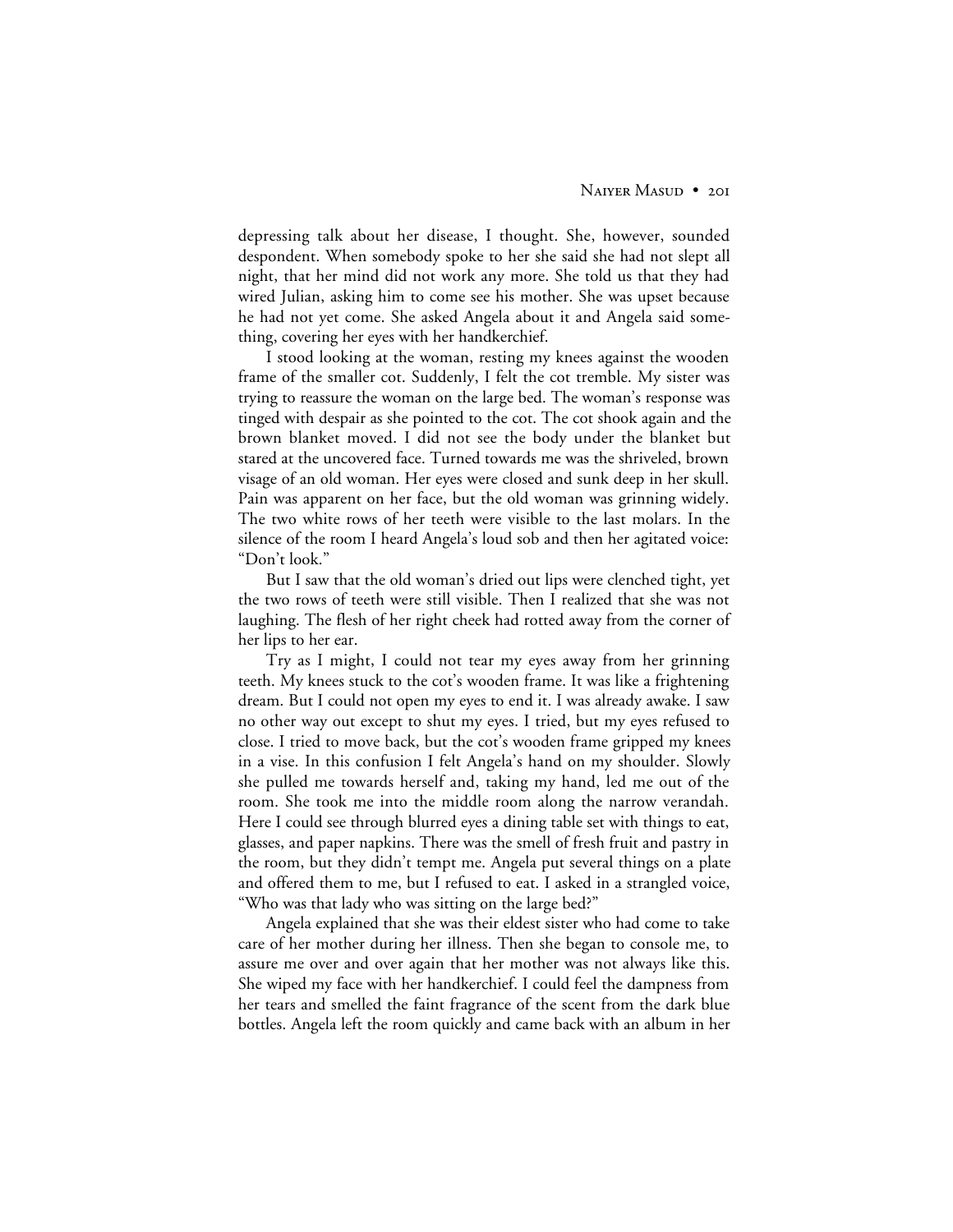depressing talk about her disease, I thought. She, however, sounded despondent. When somebody spoke to her she said she had not slept all night, that her mind did not work any more. She told us that they had wired Julian, asking him to come see his mother. She was upset because he had not yet come. She asked Angela about it and Angela said something, covering her eyes with her handkerchief.

I stood looking at the woman, resting my knees against the wooden frame of the smaller cot. Suddenly, I felt the cot tremble. My sister was trying to reassure the woman on the large bed. The woman's response was tinged with despair as she pointed to the cot. The cot shook again and the brown blanket moved. I did not see the body under the blanket but stared at the uncovered face. Turned towards me was the shriveled, brown visage of an old woman. Her eyes were closed and sunk deep in her skull. Pain was apparent on her face, but the old woman was grinning widely. The two white rows of her teeth were visible to the last molars. In the silence of the room I heard Angela's loud sob and then her agitated voice: "Don't look."

But I saw that the old woman's dried out lips were clenched tight, yet the two rows of teeth were still visible. Then I realized that she was not laughing. The flesh of her right cheek had rotted away from the corner of her lips to her ear.

Try as I might, I could not tear my eyes away from her grinning teeth. My knees stuck to the cot's wooden frame. It was like a frightening dream. But I could not open my eyes to end it. I was already awake. I saw no other way out except to shut my eyes. I tried, but my eyes refused to close. I tried to move back, but the cot's wooden frame gripped my knees in a vise. In this confusion I felt Angela's hand on my shoulder. Slowly she pulled me towards herself and, taking my hand, led me out of the room. She took me into the middle room along the narrow verandah. Here I could see through blurred eyes a dining table set with things to eat, glasses, and paper napkins. There was the smell of fresh fruit and pastry in the room, but they didn't tempt me. Angela put several things on a plate and offered them to me, but I refused to eat. I asked in a strangled voice, "Who was that lady who was sitting on the large bed?"

Angela explained that she was their eldest sister who had come to take care of her mother during her illness. Then she began to console me, to assure me over and over again that her mother was not always like this. She wiped my face with her handkerchief. I could feel the dampness from her tears and smelled the faint fragrance of the scent from the dark blue bottles. Angela left the room quickly and came back with an album in her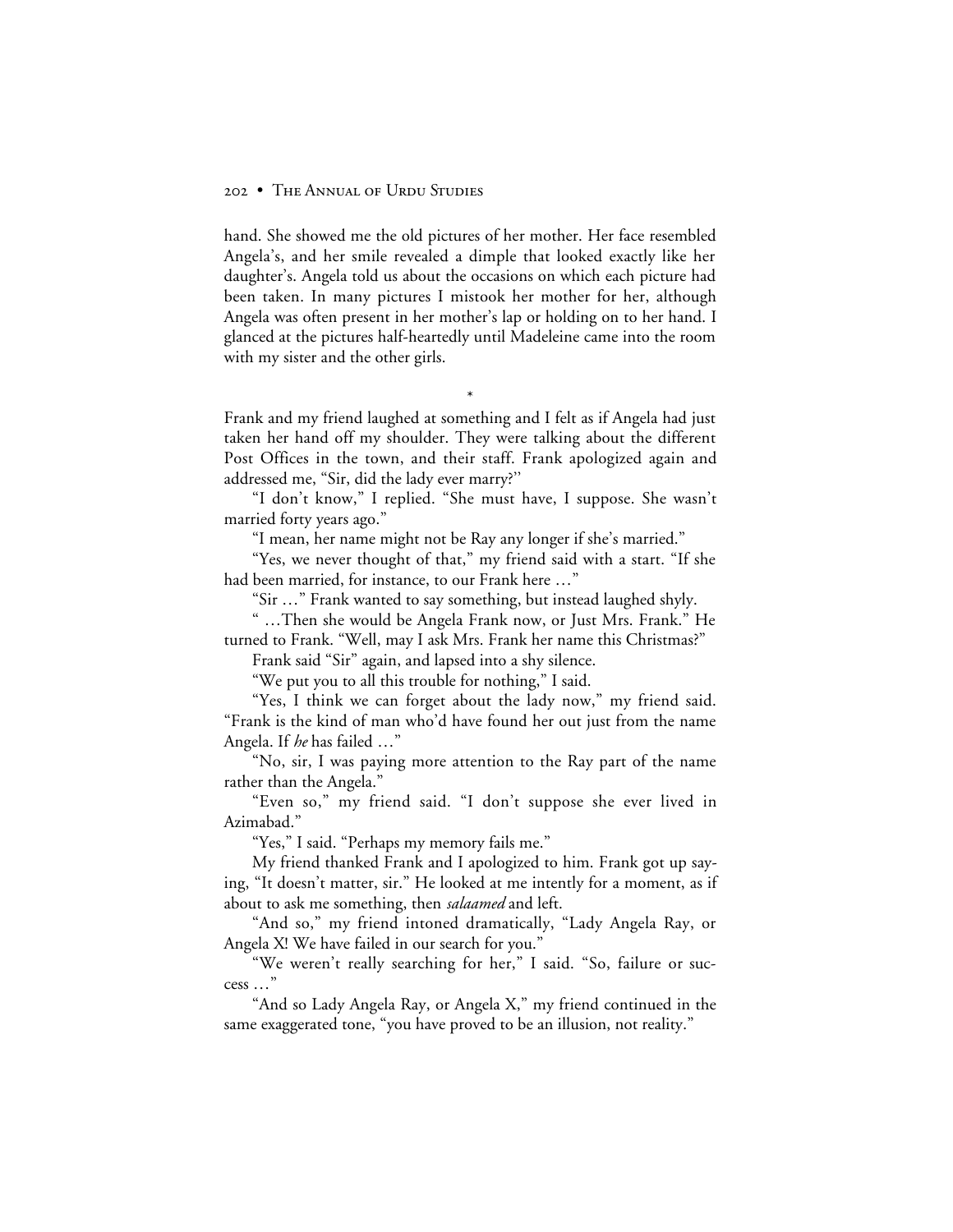hand. She showed me the old pictures of her mother. Her face resembled Angela's, and her smile revealed a dimple that looked exactly like her daughter's. Angela told us about the occasions on which each picture had been taken. In many pictures I mistook her mother for her, although Angela was often present in her mother's lap or holding on to her hand. I glanced at the pictures half-heartedly until Madeleine came into the room with my sister and the other girls.

Frank and my friend laughed at something and I felt as if Angela had just taken her hand off my shoulder. They were talking about the different Post Offices in the town, and their staff. Frank apologized again and addressed me, "Sir, did the lady ever marry?''

\*

"I don't know," I replied. "She must have, I suppose. She wasn't married forty years ago."

"I mean, her name might not be Ray any longer if she's married."

"Yes, we never thought of that," my friend said with a start. "If she had been married, for instance, to our Frank here …"

"Sir …" Frank wanted to say something, but instead laughed shyly.

" …Then she would be Angela Frank now, or Just Mrs. Frank." He turned to Frank. "Well, may I ask Mrs. Frank her name this Christmas?"

Frank said "Sir" again, and lapsed into a shy silence.

"We put you to all this trouble for nothing," I said.

"Yes, I think we can forget about the lady now," my friend said. "Frank is the kind of man who'd have found her out just from the name Angela. If *he* has failed …"

"No, sir, I was paying more attention to the Ray part of the name rather than the Angela."

"Even so," my friend said. "I don't suppose she ever lived in Azimabad."

"Yes," I said. "Perhaps my memory fails me."

My friend thanked Frank and I apologized to him. Frank got up saying, "It doesn't matter, sir." He looked at me intently for a moment, as if about to ask me something, then *salaamed* and left.

"And so," my friend intoned dramatically, "Lady Angela Ray, or Angela X! We have failed in our search for you."

"We weren't really searching for her," I said. "So, failure or success …"

"And so Lady Angela Ray, or Angela X," my friend continued in the same exaggerated tone, "you have proved to be an illusion, not reality."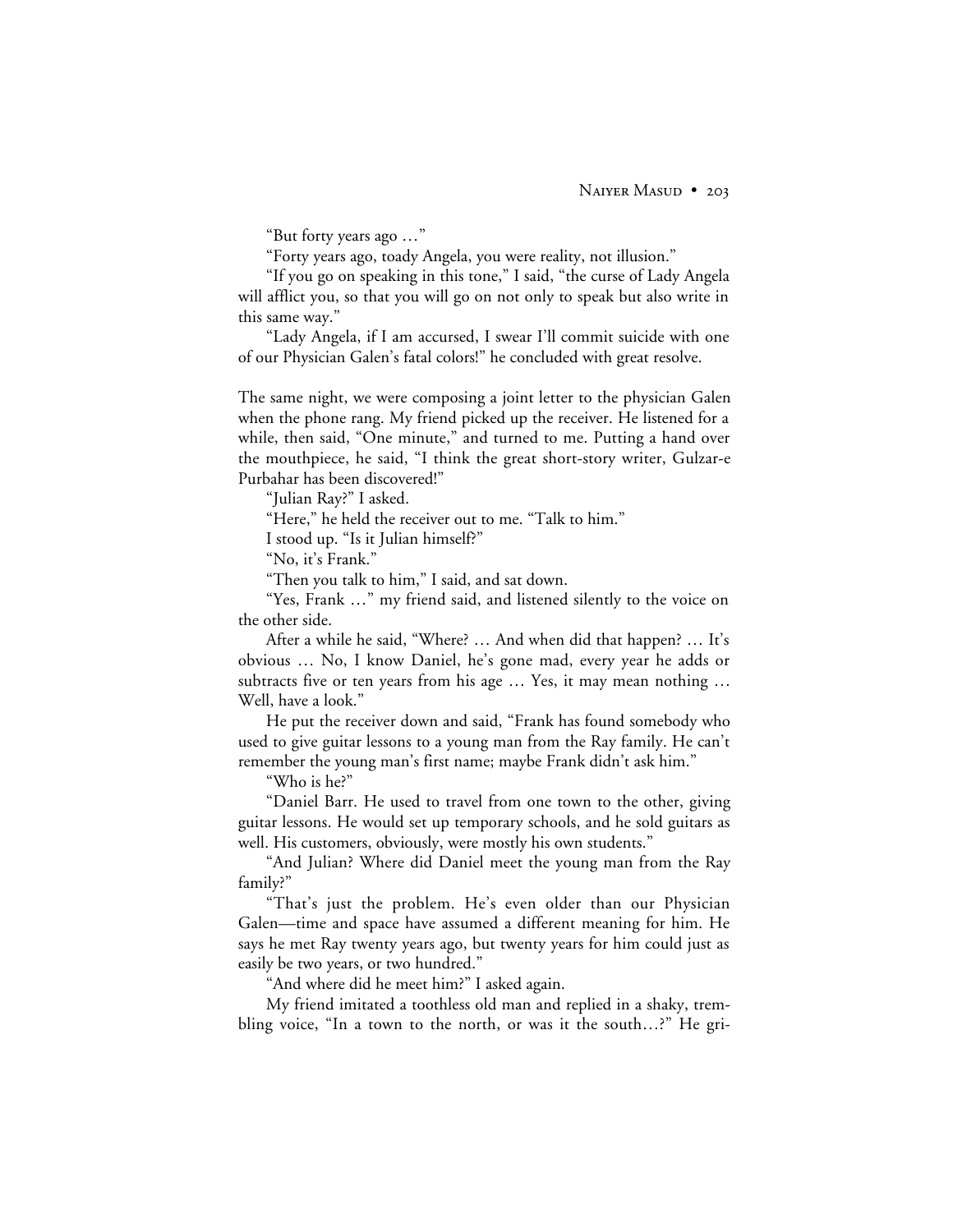"But forty years ago …"

"Forty years ago, toady Angela, you were reality, not illusion."

"If you go on speaking in this tone," I said, "the curse of Lady Angela will afflict you, so that you will go on not only to speak but also write in this same way."

"Lady Angela, if I am accursed, I swear I'll commit suicide with one of our Physician Galen's fatal colors!" he concluded with great resolve.

The same night, we were composing a joint letter to the physician Galen when the phone rang. My friend picked up the receiver. He listened for a while, then said, "One minute," and turned to me. Putting a hand over the mouthpiece, he said, "I think the great short-story writer, Gulzar-e Purbahar has been discovered!"

"Julian Ray?" I asked.

"Here," he held the receiver out to me. "Talk to him."

I stood up. "Is it Julian himself?"

"No, it's Frank."

"Then you talk to him," I said, and sat down.

"Yes, Frank …" my friend said, and listened silently to the voice on the other side.

After a while he said, "Where? … And when did that happen? … It's obvious … No, I know Daniel, he's gone mad, every year he adds or subtracts five or ten years from his age … Yes, it may mean nothing … Well, have a look."

He put the receiver down and said, "Frank has found somebody who used to give guitar lessons to a young man from the Ray family. He can't remember the young man's first name; maybe Frank didn't ask him."

"Who is he?"

"Daniel Barr. He used to travel from one town to the other, giving guitar lessons. He would set up temporary schools, and he sold guitars as well. His customers, obviously, were mostly his own students."

"And Julian? Where did Daniel meet the young man from the Ray family?"

"That's just the problem. He's even older than our Physician Galen—time and space have assumed a different meaning for him. He says he met Ray twenty years ago, but twenty years for him could just as easily be two years, or two hundred."

"And where did he meet him?" I asked again.

My friend imitated a toothless old man and replied in a shaky, trembling voice, "In a town to the north, or was it the south…?" He gri-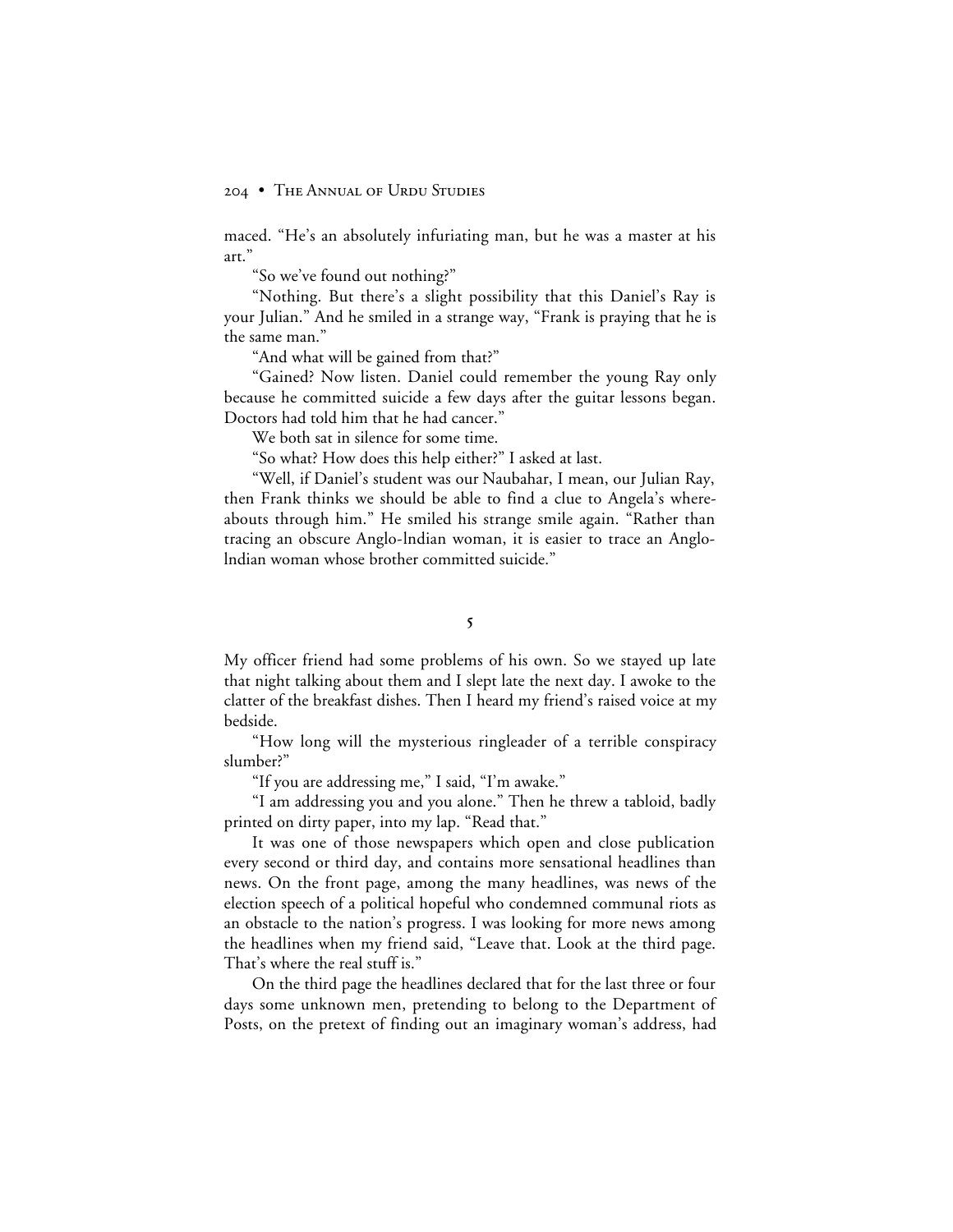maced. "He's an absolutely infuriating man, but he was a master at his art."

"So we've found out nothing?"

"Nothing. But there's a slight possibility that this Daniel's Ray is your Julian." And he smiled in a strange way, "Frank is praying that he is the same man."

"And what will be gained from that?"

"Gained? Now listen. Daniel could remember the young Ray only because he committed suicide a few days after the guitar lessons began. Doctors had told him that he had cancer."

We both sat in silence for some time.

"So what? How does this help either?" I asked at last.

"Well, if Daniel's student was our Naubahar, I mean, our Julian Ray, then Frank thinks we should be able to find a clue to Angela's whereabouts through him." He smiled his strange smile again. "Rather than tracing an obscure Anglo-lndian woman, it is easier to trace an Anglolndian woman whose brother committed suicide."

5

My officer friend had some problems of his own. So we stayed up late that night talking about them and I slept late the next day. I awoke to the clatter of the breakfast dishes. Then I heard my friend's raised voice at my bedside.

"How long will the mysterious ringleader of a terrible conspiracy slumber?"

"If you are addressing me," I said, "I'm awake."

"I am addressing you and you alone." Then he threw a tabloid, badly printed on dirty paper, into my lap. "Read that."

It was one of those newspapers which open and close publication every second or third day, and contains more sensational headlines than news. On the front page, among the many headlines, was news of the election speech of a political hopeful who condemned communal riots as an obstacle to the nation's progress. I was looking for more news among the headlines when my friend said, "Leave that. Look at the third page. That's where the real stuff is."

On the third page the headlines declared that for the last three or four days some unknown men, pretending to belong to the Department of Posts, on the pretext of finding out an imaginary woman's address, had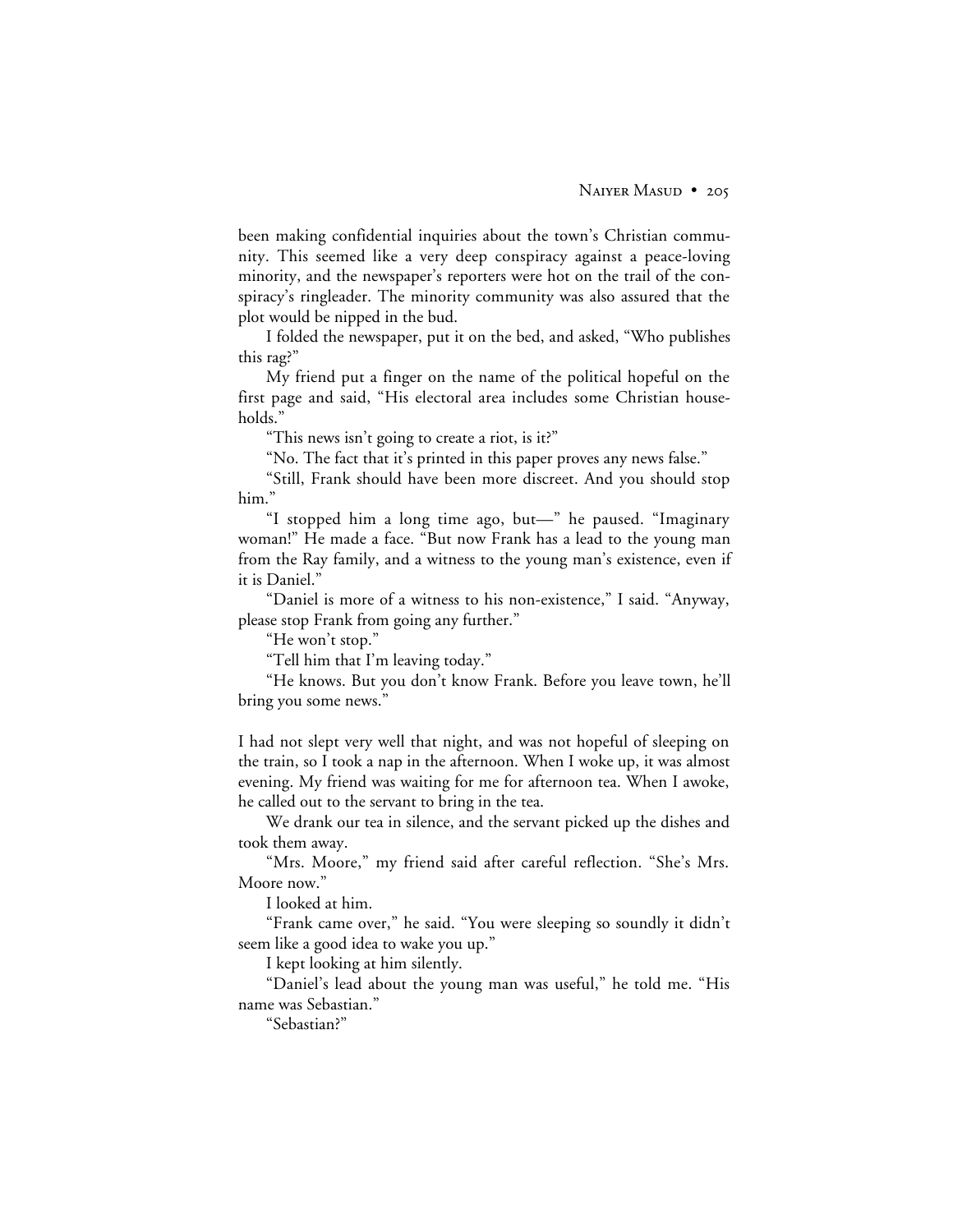been making confidential inquiries about the town's Christian community. This seemed like a very deep conspiracy against a peace-loving minority, and the newspaper's reporters were hot on the trail of the conspiracy's ringleader. The minority community was also assured that the plot would be nipped in the bud.

I folded the newspaper, put it on the bed, and asked, "Who publishes this rag?"

My friend put a finger on the name of the political hopeful on the first page and said, "His electoral area includes some Christian households."

"This news isn't going to create a riot, is it?"

"No. The fact that it's printed in this paper proves any news false."

"Still, Frank should have been more discreet. And you should stop him."

"I stopped him a long time ago, but—" he paused. "Imaginary woman!" He made a face. "But now Frank has a lead to the young man from the Ray family, and a witness to the young man's existence, even if it is Daniel."

"Daniel is more of a witness to his non-existence," I said. "Anyway, please stop Frank from going any further."

"He won't stop."

"Tell him that I'm leaving today."

"He knows. But you don't know Frank. Before you leave town, he'll bring you some news."

I had not slept very well that night, and was not hopeful of sleeping on the train, so I took a nap in the afternoon. When I woke up, it was almost evening. My friend was waiting for me for afternoon tea. When I awoke, he called out to the servant to bring in the tea.

We drank our tea in silence, and the servant picked up the dishes and took them away.

"Mrs. Moore," my friend said after careful reflection. "She's Mrs. Moore now."

I looked at him.

"Frank came over," he said. "You were sleeping so soundly it didn't seem like a good idea to wake you up."

I kept looking at him silently.

"Daniel's lead about the young man was useful," he told me. "His name was Sebastian."

"Sebastian?"